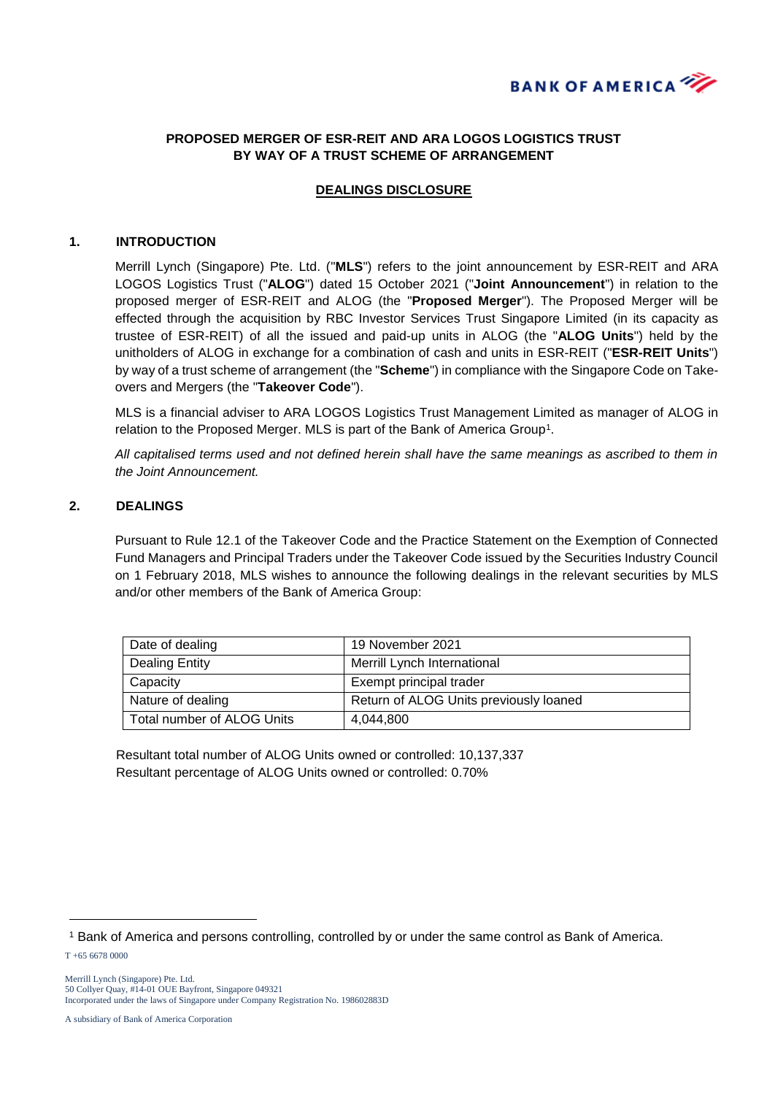

# **PROPOSED MERGER OF ESR-REIT AND ARA LOGOS LOGISTICS TRUST BY WAY OF A TRUST SCHEME OF ARRANGEMENT**

## **DEALINGS DISCLOSURE**

#### **1. INTRODUCTION**

Merrill Lynch (Singapore) Pte. Ltd. ("**MLS**") refers to the joint announcement by ESR-REIT and ARA LOGOS Logistics Trust ("**ALOG**") dated 15 October 2021 ("**Joint Announcement**") in relation to the proposed merger of ESR-REIT and ALOG (the "**Proposed Merger**"). The Proposed Merger will be effected through the acquisition by RBC Investor Services Trust Singapore Limited (in its capacity as trustee of ESR-REIT) of all the issued and paid-up units in ALOG (the "**ALOG Units**") held by the unitholders of ALOG in exchange for a combination of cash and units in ESR-REIT ("**ESR-REIT Units**") by way of a trust scheme of arrangement (the "**Scheme**") in compliance with the Singapore Code on Takeovers and Mergers (the "**Takeover Code**").

MLS is a financial adviser to ARA LOGOS Logistics Trust Management Limited as manager of ALOG in relation to the Proposed Merger. MLS is part of the Bank of America Group<sup>1</sup>.

*All capitalised terms used and not defined herein shall have the same meanings as ascribed to them in the Joint Announcement.*

### **2. DEALINGS**

Pursuant to Rule 12.1 of the Takeover Code and the Practice Statement on the Exemption of Connected Fund Managers and Principal Traders under the Takeover Code issued by the Securities Industry Council on 1 February 2018, MLS wishes to announce the following dealings in the relevant securities by MLS and/or other members of the Bank of America Group:

| Date of dealing            | 19 November 2021                       |
|----------------------------|----------------------------------------|
| <b>Dealing Entity</b>      | Merrill Lynch International            |
| Capacity                   | Exempt principal trader                |
| Nature of dealing          | Return of ALOG Units previously loaned |
| Total number of ALOG Units | 4.044.800                              |

Resultant total number of ALOG Units owned or controlled: 10,137,337 Resultant percentage of ALOG Units owned or controlled: 0.70%

T +65 6678 0000

-

Merrill Lynch (Singapore) Pte. Ltd. 50 Collyer Quay, #14-01 OUE Bayfront, Singapore 049321 Incorporated under the laws of Singapore under Company Registration No. 198602883D

A subsidiary of Bank of America Corporation

<sup>1</sup> Bank of America and persons controlling, controlled by or under the same control as Bank of America.